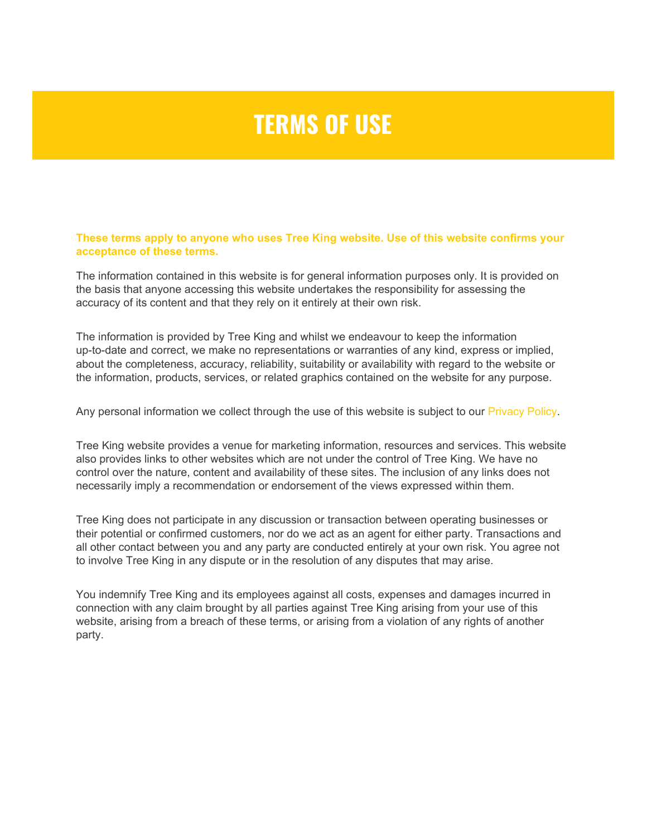## **TERMS OF USE**

**These terms apply to anyone who uses Tree King website. Use of this website confirms your acceptance of these terms.**

The information contained in this website is for general information purposes only. It is provided on the basis that anyone accessing this website undertakes the responsibility for assessing the accuracy of its content and that they rely on it entirely at their own risk.

The information is provided by Tree King and whilst we endeavour to keep the information up-to-date and correct, we make no representations or warranties of any kind, express or implied, about the completeness, accuracy, reliability, suitability or availability with regard to the website or the information, products, services, or related graphics contained on the website for any purpose.

Any personal information we collect through the use of this website is subject to our [Privacy Policy](https://treeking.co.nz/homepage/privacy-policy/).

Tree King website provides a venue for marketing information, resources and services. This website also provides links to other websites which are not under the control of Tree King. We have no control over the nature, content and availability of these sites. The inclusion of any links does not necessarily imply a recommendation or endorsement of the views expressed within them.

Tree King does not participate in any discussion or transaction between operating businesses or their potential or confirmed customers, nor do we act as an agent for either party. Transactions and all other contact between you and any party are conducted entirely at your own risk. You agree not to involve Tree King in any dispute or in the resolution of any disputes that may arise.

You indemnify Tree King and its employees against all costs, expenses and damages incurred in connection with any claim brought by all parties against Tree King arising from your use of this website, arising from a breach of these terms, or arising from a violation of any rights of another party.